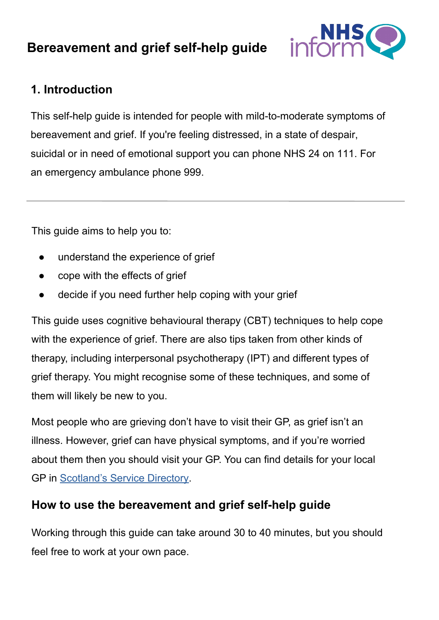# **Bereavement and grief self-help guide**



## **1. Introduction**

This self-help guide is intended for people with mild-to-moderate symptoms of bereavement and grief. If you're feeling distressed, in a state of despair, suicidal or in need of emotional support you can phone NHS 24 on 111. For an emergency ambulance phone 999.

This guide aims to help you to:

- understand the experience of grief
- cope with the effects of grief
- decide if you need further help coping with your grief

This guide uses cognitive behavioural therapy (CBT) techniques to help cope with the experience of grief. There are also tips taken from other kinds of therapy, including interpersonal psychotherapy (IPT) and different types of grief therapy. You might recognise some of these techniques, and some of them will likely be new to you.

Most people who are grieving don't have to visit their GP, as grief isn't an illness. However, grief can have physical symptoms, and if you're worried about them then you should visit your GP. You can find details for your local GP in [Scotland's Service Directory.](https://www.nhsinform.scot/scotlands-service-directory/gp-practices)

## **How to use the bereavement and grief self-help guide**

Working through this guide can take around 30 to 40 minutes, but you should feel free to work at your own pace.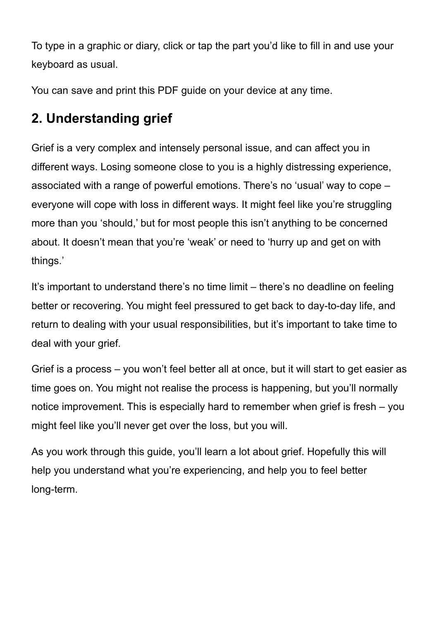To type in a graphic or diary, click or tap the part you'd like to fill in and use your keyboard as usual.

You can save and print this PDF guide on your device at any time.

# **2. Understanding grief**

Grief is a very complex and intensely personal issue, and can affect you in different ways. Losing someone close to you is a highly distressing experience, associated with a range of powerful emotions. There's no 'usual' way to cope – everyone will cope with loss in different ways. It might feel like you're struggling more than you 'should,' but for most people this isn't anything to be concerned about. It doesn't mean that you're 'weak' or need to 'hurry up and get on with things.'

It's important to understand there's no time limit – there's no deadline on feeling better or recovering. You might feel pressured to get back to day-to-day life, and return to dealing with your usual responsibilities, but it's important to take time to deal with your grief.

Grief is a process – you won't feel better all at once, but it will start to get easier as time goes on. You might not realise the process is happening, but you'll normally notice improvement. This is especially hard to remember when grief is fresh – you might feel like you'll never get over the loss, but you will.

As you work through this guide, you'll learn a lot about grief. Hopefully this will help you understand what you're experiencing, and help you to feel better long-term.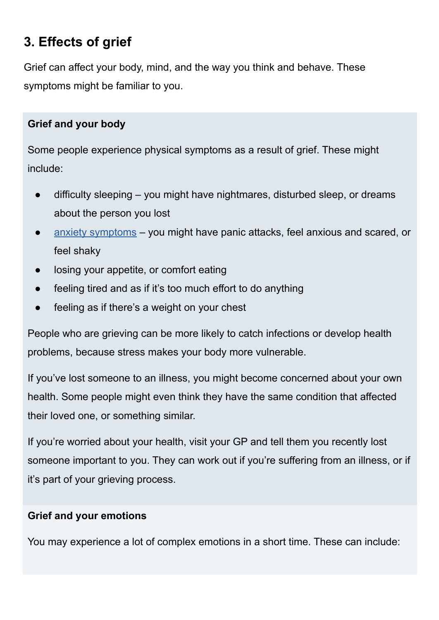# **3. Effects of grief**

Grief can affect your body, mind, and the way you think and behave. These symptoms might be familiar to you.

#### **Grief and your body**

Some people experience physical symptoms as a result of grief. These might include:

- $difficulty$  sleeping  $-$  you might have nightmares, disturbed sleep, or dreams about the person you lost
- [anxiety symptoms](https://www.nhsinform.scot/illnesses-and-conditions/mental-health/anxiety)  you might have panic attacks, feel anxious and scared, or feel shaky
- losing your appetite, or comfort eating
- feeling tired and as if it's too much effort to do anything
- feeling as if there's a weight on your chest

People who are grieving can be more likely to catch infections or develop health problems, because stress makes your body more vulnerable.

If you've lost someone to an illness, you might become concerned about your own health. Some people might even think they have the same condition that affected their loved one, or something similar.

If you're worried about your health, visit your GP and tell them you recently lost someone important to you. They can work out if you're suffering from an illness, or if it's part of your grieving process.

#### **Grief and your emotions**

You may experience a lot of complex emotions in a short time. These can include: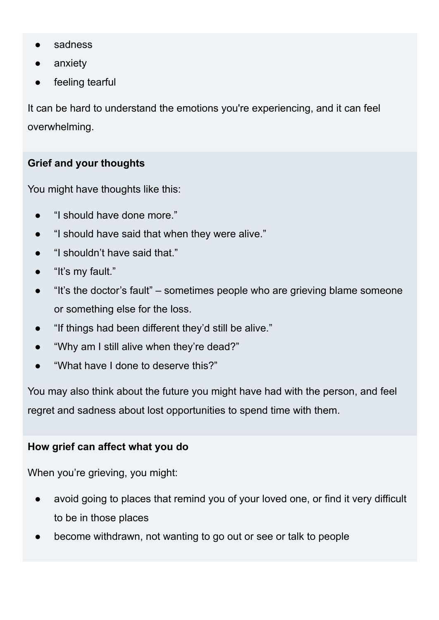- sadness
- anxiety
- feeling tearful

It can be hard to understand the emotions you're experiencing, and it can feel overwhelming.

#### **Grief and your thoughts**

You might have thoughts like this:

- "I should have done more."
- "I should have said that when they were alive."
- "I shouldn't have said that."
- "It's my fault."
- "It's the doctor's fault" sometimes people who are grieving blame someone or something else for the loss.
- "If things had been different they'd still be alive."
- "Why am I still alive when they're dead?"
- "What have I done to deserve this?"

You may also think about the future you might have had with the person, and feel regret and sadness about lost opportunities to spend time with them.

#### **How grief can affect what you do**

When you're grieving, you might:

- avoid going to places that remind you of your loved one, or find it very difficult to be in those places
- become withdrawn, not wanting to go out or see or talk to people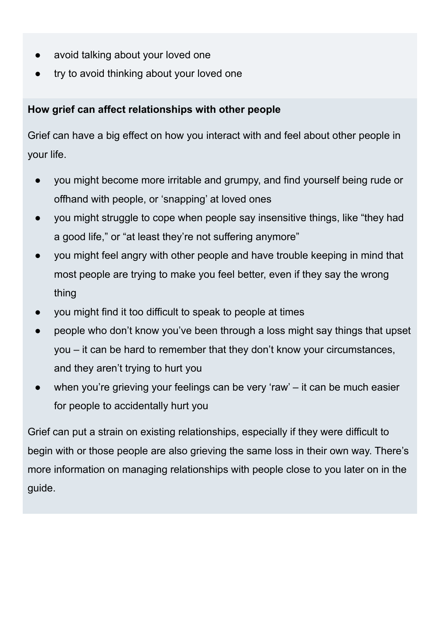- avoid talking about your loved one
- try to avoid thinking about your loved one

#### **How grief can affect relationships with other people**

Grief can have a big effect on how you interact with and feel about other people in your life.

- you might become more irritable and grumpy, and find yourself being rude or offhand with people, or 'snapping' at loved ones
- you might struggle to cope when people say insensitive things, like "they had a good life," or "at least they're not suffering anymore"
- you might feel angry with other people and have trouble keeping in mind that most people are trying to make you feel better, even if they say the wrong thing
- you might find it too difficult to speak to people at times
- people who don't know you've been through a loss might say things that upset you – it can be hard to remember that they don't know your circumstances, and they aren't trying to hurt you
- when you're grieving your feelings can be very 'raw'  $-$  it can be much easier for people to accidentally hurt you

Grief can put a strain on existing relationships, especially if they were difficult to begin with or those people are also grieving the same loss in their own way. There's more information on managing relationships with people close to you later on in the guide.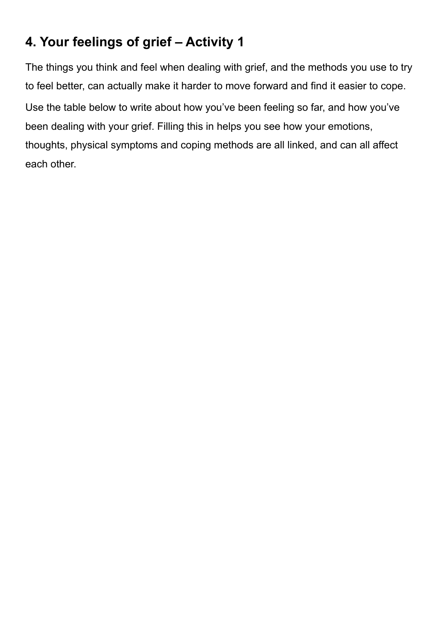# **4. Your feelings of grief – Activity 1**

The things you think and feel when dealing with grief, and the methods you use to try to feel better, can actually make it harder to move forward and find it easier to cope. Use the table below to write about how you've been feeling so far, and how you've been dealing with your grief. Filling this in helps you see how your emotions, thoughts, physical symptoms and coping methods are all linked, and can all affect each other.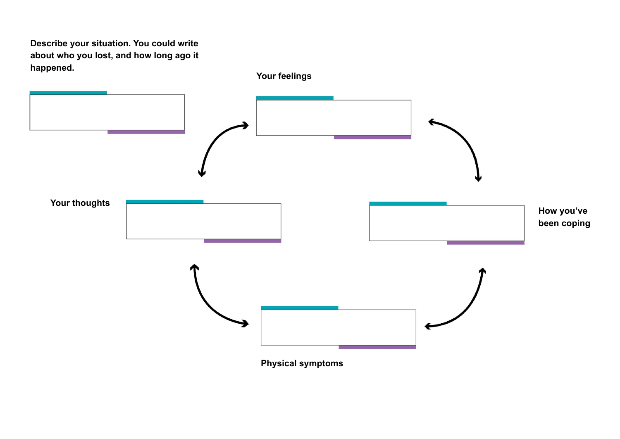**Describe your situation. You could write about who you lost, and how long ago it happened.**

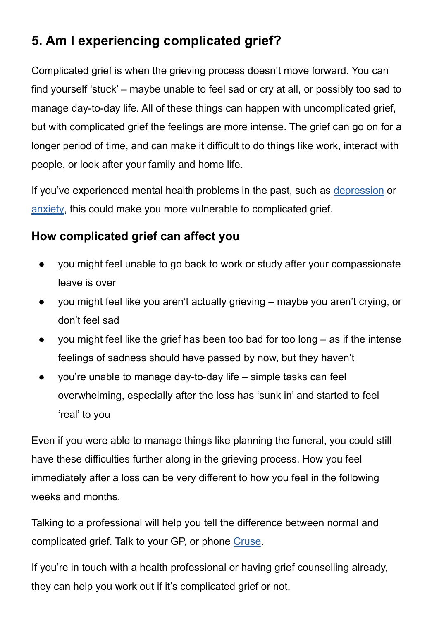# **5. Am I experiencing complicated grief?**

Complicated grief is when the grieving process doesn't move forward. You can find yourself 'stuck' – maybe unable to feel sad or cry at all, or possibly too sad to manage day-to-day life. All of these things can happen with uncomplicated grief, but with complicated grief the feelings are more intense. The grief can go on for a longer period of time, and can make it difficult to do things like work, interact with people, or look after your family and home life.

If you've experienced mental health problems in the past, such as [depression](https://www.nhsinform.scot/illnesses-and-conditions/mental-health/depression/) or [anxiety,](https://www.nhsinform.scot/illnesses-and-conditions/mental-health/anxiety/) this could make you more vulnerable to complicated grief.

## **How complicated grief can affect you**

- you might feel unable to go back to work or study after your compassionate leave is over
- you might feel like you aren't actually grieving maybe you aren't crying, or don't feel sad
- you might feel like the grief has been too bad for too long  $-$  as if the intense feelings of sadness should have passed by now, but they haven't
- you're unable to manage day-to-day life simple tasks can feel overwhelming, especially after the loss has 'sunk in' and started to feel 'real' to you

Even if you were able to manage things like planning the funeral, you could still have these difficulties further along in the grieving process. How you feel immediately after a loss can be very different to how you feel in the following weeks and months.

Talking to a professional will help you tell the difference between normal and complicated grief. Talk to your GP, or phone [Cruse.](http://www.crusescotland.org.uk/)

If you're in touch with a health professional or having grief counselling already, they can help you work out if it's complicated grief or not.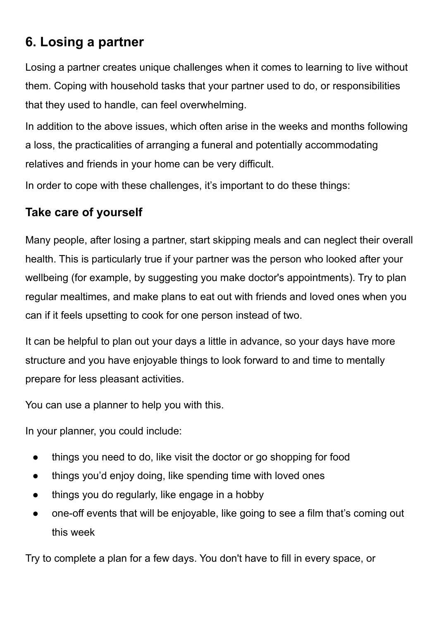# **6. Losing a partner**

Losing a partner creates unique challenges when it comes to learning to live without them. Coping with household tasks that your partner used to do, or responsibilities that they used to handle, can feel overwhelming.

In addition to the above issues, which often arise in the weeks and months following a loss, the practicalities of arranging a funeral and potentially accommodating relatives and friends in your home can be very difficult.

In order to cope with these challenges, it's important to do these things:

## **Take care of yourself**

Many people, after losing a partner, start skipping meals and can neglect their overall health. This is particularly true if your partner was the person who looked after your wellbeing (for example, by suggesting you make doctor's appointments). Try to plan regular mealtimes, and make plans to eat out with friends and loved ones when you can if it feels upsetting to cook for one person instead of two.

It can be helpful to plan out your days a little in advance, so your days have more structure and you have enjoyable things to look forward to and time to mentally prepare for less pleasant activities.

You can use a planner to help you with this.

In your planner, you could include:

- things you need to do, like visit the doctor or go shopping for food
- things you'd enjoy doing, like spending time with loved ones
- things you do regularly, like engage in a hobby
- one-off events that will be enjoyable, like going to see a film that's coming out this week

Try to complete a plan for a few days. You don't have to fill in every space, or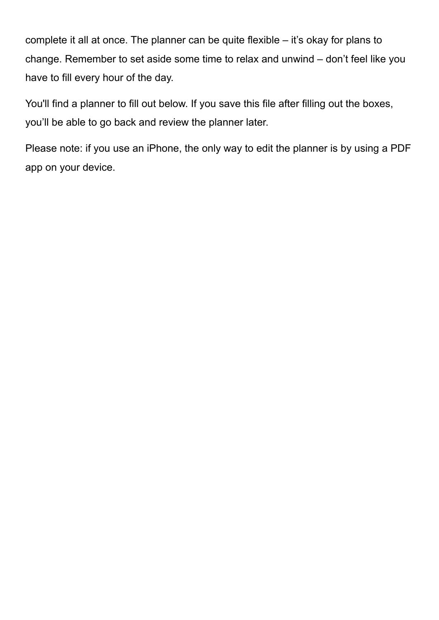complete it all at once. The planner can be quite flexible – it's okay for plans to change. Remember to set aside some time to relax and unwind – don't feel like you have to fill every hour of the day.

You'll find a planner to fill out below. If you save this file after filling out the boxes, you'll be able to go back and review the planner later.

Please note: if you use an iPhone, the only way to edit the planner is by using a PDF app on your device.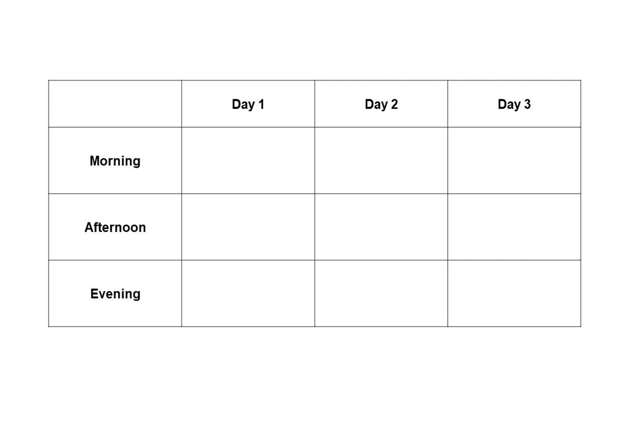|                | Day 1 | Day 2 | Day 3 |
|----------------|-------|-------|-------|
| <b>Morning</b> |       |       |       |
| Afternoon      |       |       |       |
| <b>Evening</b> |       |       |       |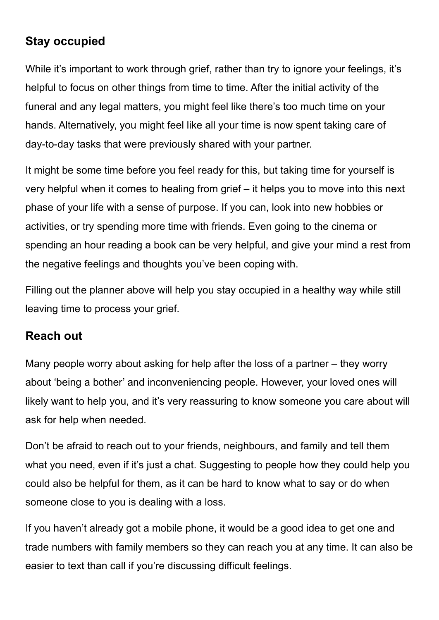## **Stay occupied**

While it's important to work through grief, rather than try to ignore your feelings, it's helpful to focus on other things from time to time. After the initial activity of the funeral and any legal matters, you might feel like there's too much time on your hands. Alternatively, you might feel like all your time is now spent taking care of day-to-day tasks that were previously shared with your partner.

It might be some time before you feel ready for this, but taking time for yourself is very helpful when it comes to healing from grief – it helps you to move into this next phase of your life with a sense of purpose. If you can, look into new hobbies or activities, or try spending more time with friends. Even going to the cinema or spending an hour reading a book can be very helpful, and give your mind a rest from the negative feelings and thoughts you've been coping with.

Filling out the planner above will help you stay occupied in a healthy way while still leaving time to process your grief.

## **Reach out**

Many people worry about asking for help after the loss of a partner – they worry about 'being a bother' and inconveniencing people. However, your loved ones will likely want to help you, and it's very reassuring to know someone you care about will ask for help when needed.

Don't be afraid to reach out to your friends, neighbours, and family and tell them what you need, even if it's just a chat. Suggesting to people how they could help you could also be helpful for them, as it can be hard to know what to say or do when someone close to you is dealing with a loss.

If you haven't already got a mobile phone, it would be a good idea to get one and trade numbers with family members so they can reach you at any time. It can also be easier to text than call if you're discussing difficult feelings.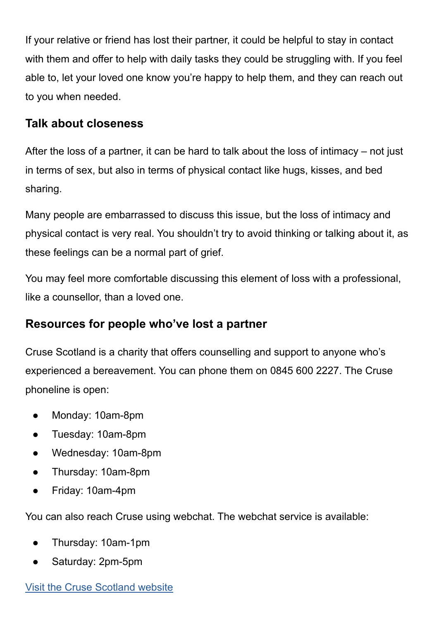If your relative or friend has lost their partner, it could be helpful to stay in contact with them and offer to help with daily tasks they could be struggling with. If you feel able to, let your loved one know you're happy to help them, and they can reach out to you when needed.

#### **Talk about closeness**

After the loss of a partner, it can be hard to talk about the loss of intimacy – not just in terms of sex, but also in terms of physical contact like hugs, kisses, and bed sharing.

Many people are embarrassed to discuss this issue, but the loss of intimacy and physical contact is very real. You shouldn't try to avoid thinking or talking about it, as these feelings can be a normal part of grief.

You may feel more comfortable discussing this element of loss with a professional, like a counsellor, than a loved one.

## **Resources for people who've lost a partner**

Cruse Scotland is a charity that offers counselling and support to anyone who's experienced a bereavement. You can phone them on 0845 600 2227. The Cruse phoneline is open:

- Monday: 10am-8pm
- Tuesday: 10am-8pm
- Wednesday: 10am-8pm
- Thursday: 10am-8pm
- Friday: 10am-4pm

You can also reach Cruse using webchat. The webchat service is available:

- Thursday: 10am-1pm
- Saturday: 2pm-5pm

#### [Visit the Cruse Scotland website](http://www.crusescotland.org.uk/)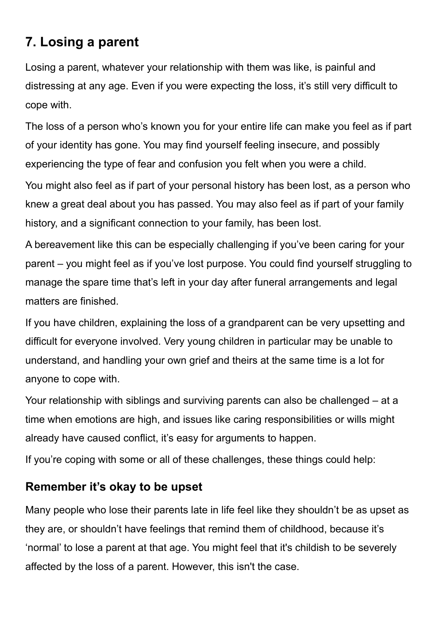# **7. Losing a parent**

Losing a parent, whatever your relationship with them was like, is painful and distressing at any age. Even if you were expecting the loss, it's still very difficult to cope with.

The loss of a person who's known you for your entire life can make you feel as if part of your identity has gone. You may find yourself feeling insecure, and possibly experiencing the type of fear and confusion you felt when you were a child.

You might also feel as if part of your personal history has been lost, as a person who knew a great deal about you has passed. You may also feel as if part of your family history, and a significant connection to your family, has been lost.

A bereavement like this can be especially challenging if you've been caring for your parent – you might feel as if you've lost purpose. You could find yourself struggling to manage the spare time that's left in your day after funeral arrangements and legal matters are finished.

If you have children, explaining the loss of a grandparent can be very upsetting and difficult for everyone involved. Very young children in particular may be unable to understand, and handling your own grief and theirs at the same time is a lot for anyone to cope with.

Your relationship with siblings and surviving parents can also be challenged – at a time when emotions are high, and issues like caring responsibilities or wills might already have caused conflict, it's easy for arguments to happen.

If you're coping with some or all of these challenges, these things could help:

#### **Remember it's okay to be upset**

Many people who lose their parents late in life feel like they shouldn't be as upset as they are, or shouldn't have feelings that remind them of childhood, because it's 'normal' to lose a parent at that age. You might feel that it's childish to be severely affected by the loss of a parent. However, this isn't the case.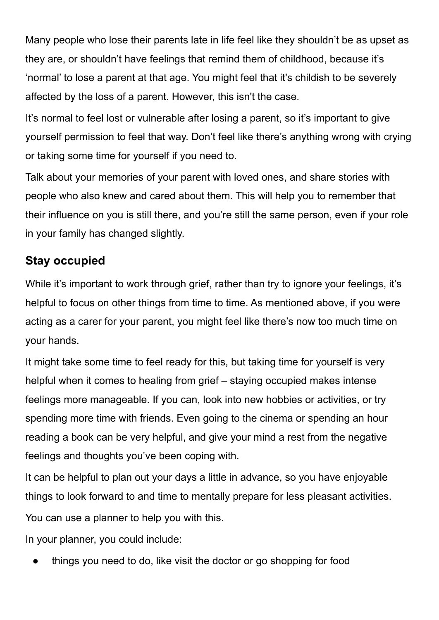Many people who lose their parents late in life feel like they shouldn't be as upset as they are, or shouldn't have feelings that remind them of childhood, because it's 'normal' to lose a parent at that age. You might feel that it's childish to be severely affected by the loss of a parent. However, this isn't the case.

It's normal to feel lost or vulnerable after losing a parent, so it's important to give yourself permission to feel that way. Don't feel like there's anything wrong with crying or taking some time for yourself if you need to.

Talk about your memories of your parent with loved ones, and share stories with people who also knew and cared about them. This will help you to remember that their influence on you is still there, and you're still the same person, even if your role in your family has changed slightly.

## **Stay occupied**

While it's important to work through grief, rather than try to ignore your feelings, it's helpful to focus on other things from time to time. As mentioned above, if you were acting as a carer for your parent, you might feel like there's now too much time on your hands.

It might take some time to feel ready for this, but taking time for yourself is very helpful when it comes to healing from grief – staying occupied makes intense feelings more manageable. If you can, look into new hobbies or activities, or try spending more time with friends. Even going to the cinema or spending an hour reading a book can be very helpful, and give your mind a rest from the negative feelings and thoughts you've been coping with.

It can be helpful to plan out your days a little in advance, so you have enjoyable things to look forward to and time to mentally prepare for less pleasant activities. You can use a planner to help you with this.

In your planner, you could include:

things you need to do, like visit the doctor or go shopping for food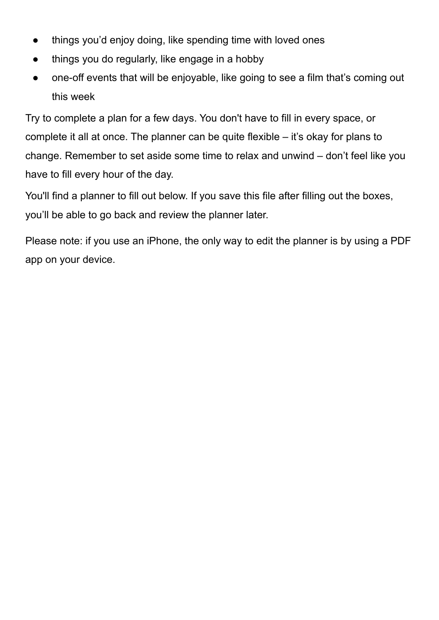- things you'd enjoy doing, like spending time with loved ones
- things you do regularly, like engage in a hobby
- one-off events that will be enjoyable, like going to see a film that's coming out this week

Try to complete a plan for a few days. You don't have to fill in every space, or complete it all at once. The planner can be quite flexible – it's okay for plans to change. Remember to set aside some time to relax and unwind – don't feel like you have to fill every hour of the day.

You'll find a planner to fill out below. If you save this file after filling out the boxes, you'll be able to go back and review the planner later.

Please note: if you use an iPhone, the only way to edit the planner is by using a PDF app on your device.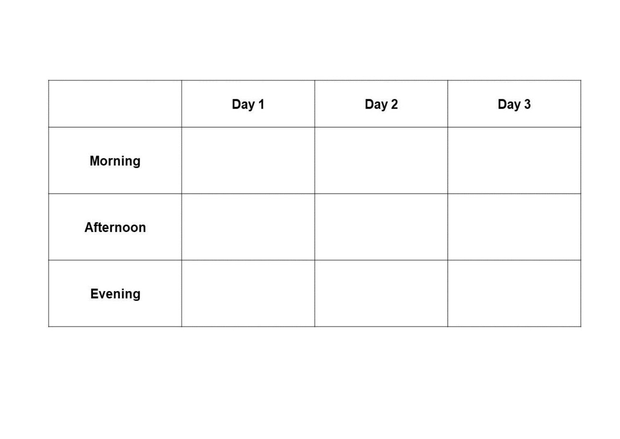|                | Day 1 | Day 2 | Day 3 |
|----------------|-------|-------|-------|
| <b>Morning</b> |       |       |       |
| Afternoon      |       |       |       |
| <b>Evening</b> |       |       |       |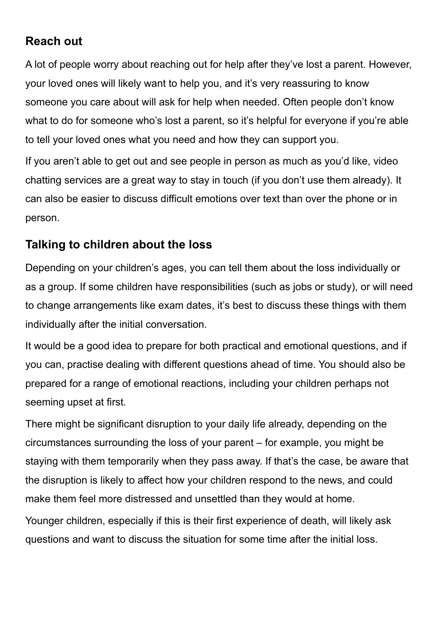## **Reach out**

A lot of people worry about reaching out for help after they've lost a parent. However, your loved ones will likely want to help you, and it's very reassuring to know someone you care about will ask for help when needed. Often people don't know what to do for someone who's lost a parent, so it's helpful for everyone if you're able to tell your loved ones what you need and how they can support you.

If you aren't able to get out and see people in person as much as you'd like, video chatting services are a great way to stay in touch (if you don't use them already). It can also be easier to discuss difficult emotions over text than over the phone or in person.

## **Talking to children about the loss**

Depending on your children's ages, you can tell them about the loss individually or as a group. If some children have responsibilities (such as jobs or study), or will need to change arrangements like exam dates, it's best to discuss these things with them individually after the initial conversation.

It would be a good idea to prepare for both practical and emotional questions, and if you can, practise dealing with different questions ahead of time. You should also be prepared for a range of emotional reactions, including your children perhaps not seeming upset at first.

There might be significant disruption to your daily life already, depending on the circumstances surrounding the loss of your parent – for example, you might be staying with them temporarily when they pass away. If that's the case, be aware that the disruption is likely to affect how your children respond to the news, and could make them feel more distressed and unsettled than they would at home.

Younger children, especially if this is their first experience of death, will likely ask questions and want to discuss the situation for some time after the initial loss.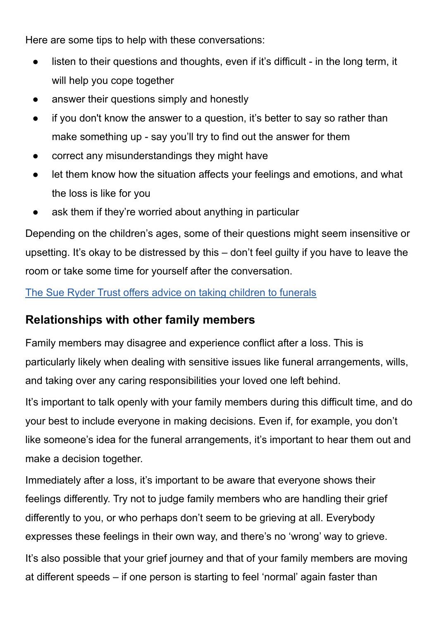Here are some tips to help with these conversations:

- listen to their questions and thoughts, even if it's difficult in the long term, it will help you cope together
- answer their questions simply and honestly
- if you don't know the answer to a question, it's better to say so rather than make something up - say you'll try to find out the answer for them
- correct any misunderstandings they might have
- let them know how the situation affects your feelings and emotions, and what the loss is like for you
- ask them if they're worried about anything in particular

Depending on the children's ages, some of their questions might seem insensitive or upsetting. It's okay to be distressed by this – don't feel guilty if you have to leave the room or take some time for yourself after the conversation.

[The Sue Ryder Trust offers advice on taking children to funerals](https://www.sueryder.org/how-we-can-help/someone-close-to-me-has-died/advice-and-support/should-children-come-to-the-funeral)

## **Relationships with other family members**

Family members may disagree and experience conflict after a loss. This is particularly likely when dealing with sensitive issues like funeral arrangements, wills, and taking over any caring responsibilities your loved one left behind.

It's important to talk openly with your family members during this difficult time, and do your best to include everyone in making decisions. Even if, for example, you don't like someone's idea for the funeral arrangements, it's important to hear them out and make a decision together.

Immediately after a loss, it's important to be aware that everyone shows their feelings differently. Try not to judge family members who are handling their grief differently to you, or who perhaps don't seem to be grieving at all. Everybody expresses these feelings in their own way, and there's no 'wrong' way to grieve. It's also possible that your grief journey and that of your family members are moving at different speeds – if one person is starting to feel 'normal' again faster than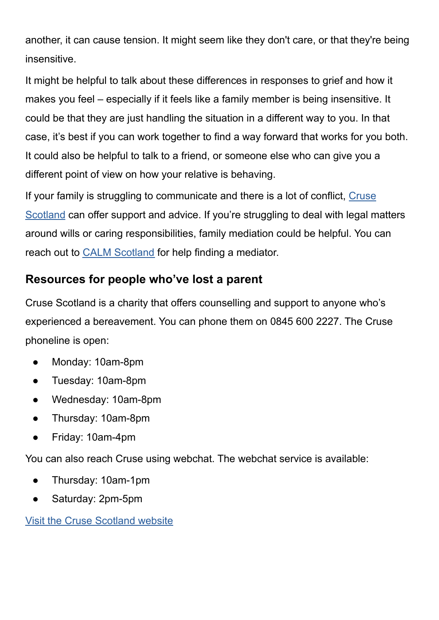another, it can cause tension. It might seem like they don't care, or that they're being insensitive.

It might be helpful to talk about these differences in responses to grief and how it makes you feel – especially if it feels like a family member is being insensitive. It could be that they are just handling the situation in a different way to you. In that case, it's best if you can work together to find a way forward that works for you both. It could also be helpful to talk to a friend, or someone else who can give you a different point of view on how your relative is behaving.

If your family is struggling to communicate and there is a lot of conflict, [Cruse](http://www.crusescotland.org.uk/) [Scotland](http://www.crusescotland.org.uk/) can offer support and advice. If you're struggling to deal with legal matters around wills or caring responsibilities, family mediation could be helpful. You can reach out to [CALM Scotland](http://www.calmscotland.co.uk/) for help finding a mediator.

## **Resources for people who've lost a parent**

Cruse Scotland is a charity that offers counselling and support to anyone who's experienced a bereavement. You can phone them on 0845 600 2227. The Cruse phoneline is open:

- Monday: 10am-8pm
- Tuesday: 10am-8pm
- Wednesday: 10am-8pm
- Thursday: 10am-8pm
- Friday: 10am-4pm

You can also reach Cruse using webchat. The webchat service is available:

- Thursday: 10am-1pm
- Saturday: 2pm-5pm

[Visit the Cruse Scotland website](http://www.crusescotland.org.uk/)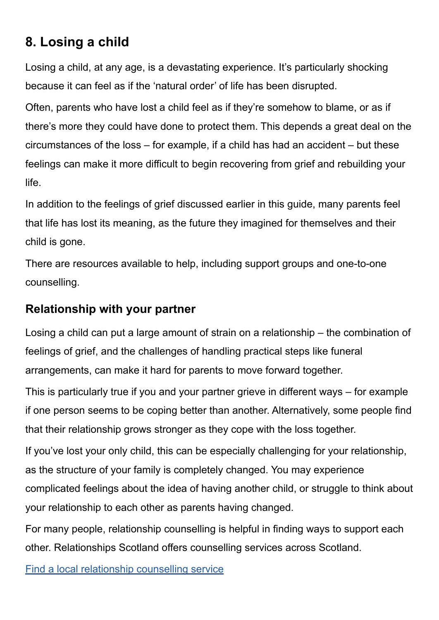# **8. Losing a child**

Losing a child, at any age, is a devastating experience. It's particularly shocking because it can feel as if the 'natural order' of life has been disrupted.

Often, parents who have lost a child feel as if they're somehow to blame, or as if there's more they could have done to protect them. This depends a great deal on the circumstances of the loss – for example, if a child has had an accident – but these feelings can make it more difficult to begin recovering from grief and rebuilding your life.

In addition to the feelings of grief discussed earlier in this guide, many parents feel that life has lost its meaning, as the future they imagined for themselves and their child is gone.

There are resources available to help, including support groups and one-to-one counselling.

#### **Relationship with your partner**

Losing a child can put a large amount of strain on a relationship – the combination of feelings of grief, and the challenges of handling practical steps like funeral arrangements, can make it hard for parents to move forward together.

This is particularly true if you and your partner grieve in different ways – for example if one person seems to be coping better than another. Alternatively, some people find that their relationship grows stronger as they cope with the loss together.

If you've lost your only child, this can be especially challenging for your relationship, as the structure of your family is completely changed. You may experience complicated feelings about the idea of having another child, or struggle to think about your relationship to each other as parents having changed.

For many people, relationship counselling is helpful in finding ways to support each other. Relationships Scotland offers counselling services across Scotland.

[Find a local relationship counselling service](https://www.relationships-scotland.org.uk/find-a-local-service/counselling-services)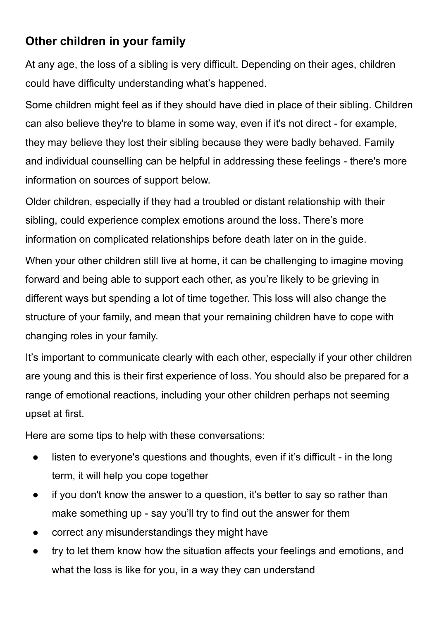# **Other children in your family**

At any age, the loss of a sibling is very difficult. Depending on their ages, children could have difficulty understanding what's happened.

Some children might feel as if they should have died in place of their sibling. Children can also believe they're to blame in some way, even if it's not direct - for example, they may believe they lost their sibling because they were badly behaved. Family and individual counselling can be helpful in addressing these feelings - there's more information on sources of support below.

Older children, especially if they had a troubled or distant relationship with their sibling, could experience complex emotions around the loss. There's more information on complicated relationships before death later on in the guide.

When your other children still live at home, it can be challenging to imagine moving forward and being able to support each other, as you're likely to be grieving in different ways but spending a lot of time together. This loss will also change the structure of your family, and mean that your remaining children have to cope with changing roles in your family.

It's important to communicate clearly with each other, especially if your other children are young and this is their first experience of loss. You should also be prepared for a range of emotional reactions, including your other children perhaps not seeming upset at first.

Here are some tips to help with these conversations:

- listen to everyone's questions and thoughts, even if it's difficult in the long term, it will help you cope together
- if you don't know the answer to a question, it's better to say so rather than make something up - say you'll try to find out the answer for them
- correct any misunderstandings they might have
- try to let them know how the situation affects your feelings and emotions, and what the loss is like for you, in a way they can understand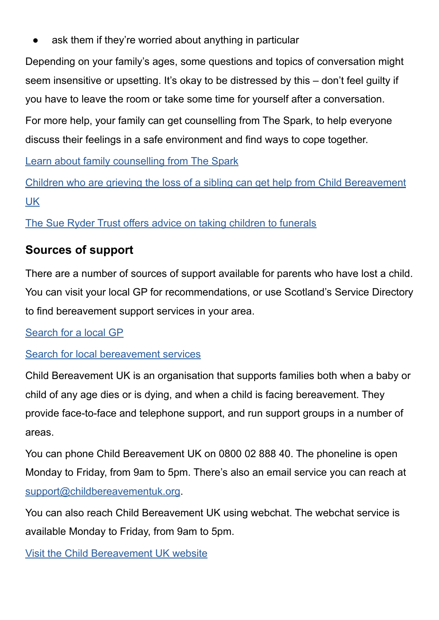ask them if they're worried about anything in particular

Depending on your family's ages, some questions and topics of conversation might seem insensitive or upsetting. It's okay to be distressed by this – don't feel guilty if you have to leave the room or take some time for yourself after a conversation.

For more help, your family can get counselling from The Spark, to help everyone discuss their feelings in a safe environment and find ways to cope together.

[Learn about family counselling from The Spark](https://www.thespark.org.uk/relationship-support-parents-families/family-counselling/)

[Children who are grieving the loss of a sibling can get help from Child Bereavement](https://www.childbereavementuk.org/young-people) [UK](https://www.childbereavementuk.org/young-people)

[The Sue Ryder Trust offers advice on taking children to funerals](https://www.sueryder.org/how-we-can-help/someone-close-to-me-has-died/advice-and-support/should-children-come-to-the-funeral)

## **Sources of support**

There are a number of sources of support available for parents who have lost a child. You can visit your local GP for recommendations, or use Scotland's Service Directory to find bereavement support services in your area.

[Search for a local GP](https://www.nhsinform.scot/scotlands-service-directory/gp-practices)

#### [Search for local bereavement services](https://www.nhsinform.scot/scotlands-service-directory/health-and-wellbeing-services?q=&sortdir=Asc&svctype=57)

Child Bereavement UK is an organisation that supports families both when a baby or child of any age dies or is dying, and when a child is facing bereavement. They provide face-to-face and telephone support, and run support groups in a number of areas.

You can phone Child Bereavement UK on 0800 02 888 40. The phoneline is open Monday to Friday, from 9am to 5pm. There's also an email service you can reach at [support@childbereavementuk.org.](mailto:support@childbereavementuk.org)

You can also reach Child Bereavement UK using webchat. The webchat service is available Monday to Friday, from 9am to 5pm.

[Visit the Child Bereavement UK website](https://www.childbereavementuk.org/)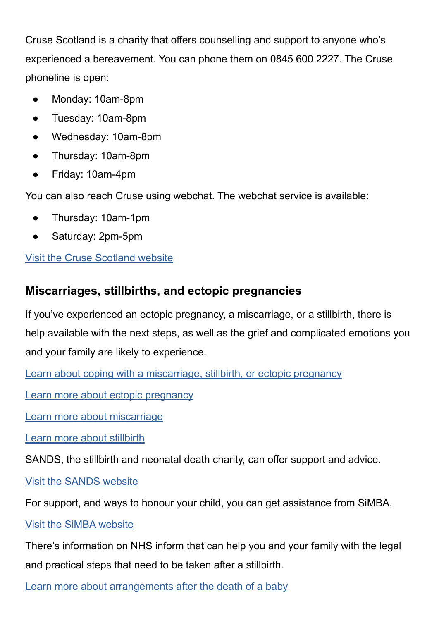Cruse Scotland is a charity that offers counselling and support to anyone who's experienced a bereavement. You can phone them on 0845 600 2227. The Cruse phoneline is open:

- Monday: 10am-8pm
- Tuesday: 10am-8pm
- Wednesday: 10am-8pm
- Thursday: 10am-8pm
- Friday: 10am-4pm

You can also reach Cruse using webchat. The webchat service is available:

- Thursday: 10am-1pm
- Saturday: 2pm-5pm

[Visit the Cruse Scotland website](http://www.crusescotland.org.uk/)

# **Miscarriages, stillbirths, and ectopic pregnancies**

If you've experienced an ectopic pregnancy, a miscarriage, or a stillbirth, there is help available with the next steps, as well as the grief and complicated emotions you and your family are likely to experience.

[Learn about coping with a miscarriage, stillbirth, or ectopic pregnancy](https://www.nhsinform.scot/ready-steady-baby/pregnancy/health-problems-in-pregnancy/when-pregnancy-goes-wrong)

[Learn more about ectopic pregnancy](https://www.nhsinform.scot/ready-steady-baby/pregnancy/health-problems-in-pregnancy/ectopic-pregnancy)

[Learn more about miscarriage](https://www.nhsinform.scot/ready-steady-baby/pregnancy/health-problems-in-pregnancy/miscarriage)

[Learn more about stillbirth](https://www.nhsinform.scot/ready-steady-baby/labour-and-birth/giving-birth/stillbirth)

SANDS, the stillbirth and neonatal death charity, can offer support and advice.

[Visit the SANDS website](https://www.sands.org.uk/)

For support, and ways to honour your child, you can get assistance from SiMBA.

[Visit the SiMBA website](https://www.simbacharity.org.uk/)

There's information on NHS inform that can help you and your family with the legal and practical steps that need to be taken after a stillbirth.

[Learn more about arrangements after the death of a baby](https://www.nhsinform.scot/care-support-and-rights/death-and-bereavement/death-of-a-baby)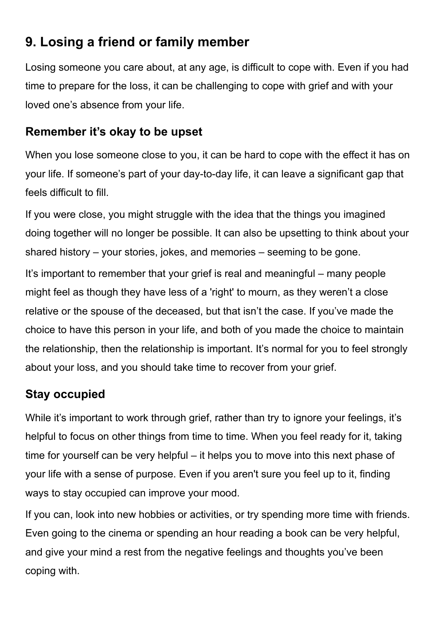# **9. Losing a friend or family member**

Losing someone you care about, at any age, is difficult to cope with. Even if you had time to prepare for the loss, it can be challenging to cope with grief and with your loved one's absence from your life.

## **Remember it's okay to be upset**

When you lose someone close to you, it can be hard to cope with the effect it has on your life. If someone's part of your day-to-day life, it can leave a significant gap that feels difficult to fill.

If you were close, you might struggle with the idea that the things you imagined doing together will no longer be possible. It can also be upsetting to think about your shared history – your stories, jokes, and memories – seeming to be gone.

It's important to remember that your grief is real and meaningful – many people might feel as though they have less of a 'right' to mourn, as they weren't a close relative or the spouse of the deceased, but that isn't the case. If you've made the choice to have this person in your life, and both of you made the choice to maintain the relationship, then the relationship is important. It's normal for you to feel strongly about your loss, and you should take time to recover from your grief.

## **Stay occupied**

While it's important to work through grief, rather than try to ignore your feelings, it's helpful to focus on other things from time to time. When you feel ready for it, taking time for yourself can be very helpful – it helps you to move into this next phase of your life with a sense of purpose. Even if you aren't sure you feel up to it, finding ways to stay occupied can improve your mood.

If you can, look into new hobbies or activities, or try spending more time with friends. Even going to the cinema or spending an hour reading a book can be very helpful, and give your mind a rest from the negative feelings and thoughts you've been coping with.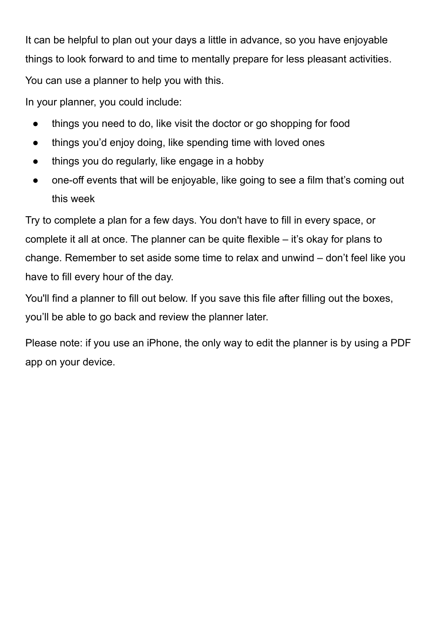It can be helpful to plan out your days a little in advance, so you have enjoyable things to look forward to and time to mentally prepare for less pleasant activities. You can use a planner to help you with this.

In your planner, you could include:

- things you need to do, like visit the doctor or go shopping for food
- things you'd enjoy doing, like spending time with loved ones
- things you do regularly, like engage in a hobby
- one-off events that will be enjoyable, like going to see a film that's coming out this week

Try to complete a plan for a few days. You don't have to fill in every space, or complete it all at once. The planner can be quite flexible – it's okay for plans to change. Remember to set aside some time to relax and unwind – don't feel like you have to fill every hour of the day.

You'll find a planner to fill out below. If you save this file after filling out the boxes, you'll be able to go back and review the planner later.

Please note: if you use an iPhone, the only way to edit the planner is by using a PDF app on your device.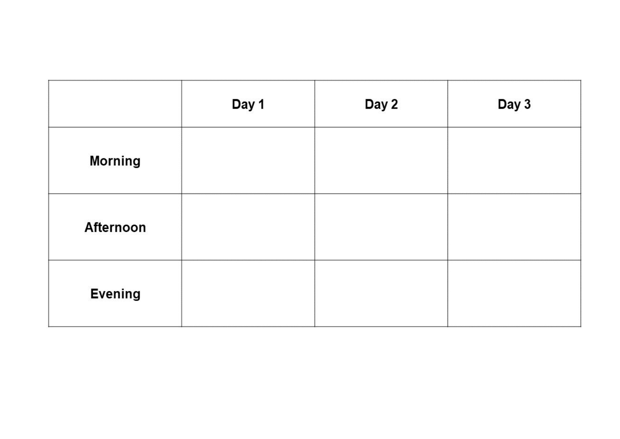|                | Day 1 | Day 2 | Day 3 |
|----------------|-------|-------|-------|
| <b>Morning</b> |       |       |       |
| Afternoon      |       |       |       |
| <b>Evening</b> |       |       |       |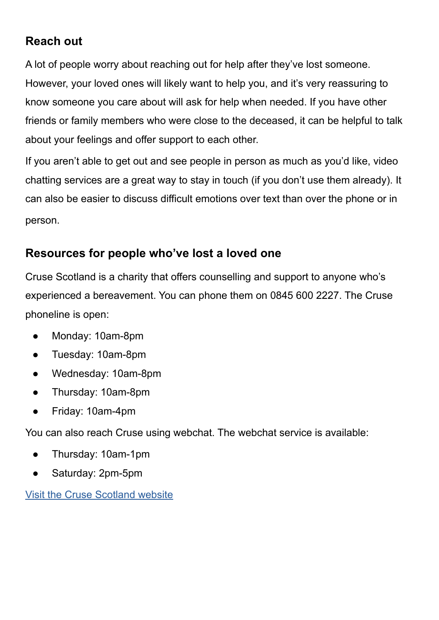## **Reach out**

A lot of people worry about reaching out for help after they've lost someone. However, your loved ones will likely want to help you, and it's very reassuring to know someone you care about will ask for help when needed. If you have other friends or family members who were close to the deceased, it can be helpful to talk about your feelings and offer support to each other.

If you aren't able to get out and see people in person as much as you'd like, video chatting services are a great way to stay in touch (if you don't use them already). It can also be easier to discuss difficult emotions over text than over the phone or in person.

## **Resources for people who've lost a loved one**

Cruse Scotland is a charity that offers counselling and support to anyone who's experienced a bereavement. You can phone them on 0845 600 2227. The Cruse phoneline is open:

- Monday: 10am-8pm
- Tuesday: 10am-8pm
- Wednesday: 10am-8pm
- Thursday: 10am-8pm
- Friday: 10am-4pm

You can also reach Cruse using webchat. The webchat service is available:

- Thursday: 10am-1pm
- Saturday: 2pm-5pm

#### [Visit the Cruse Scotland website](http://www.crusescotland.org.uk/)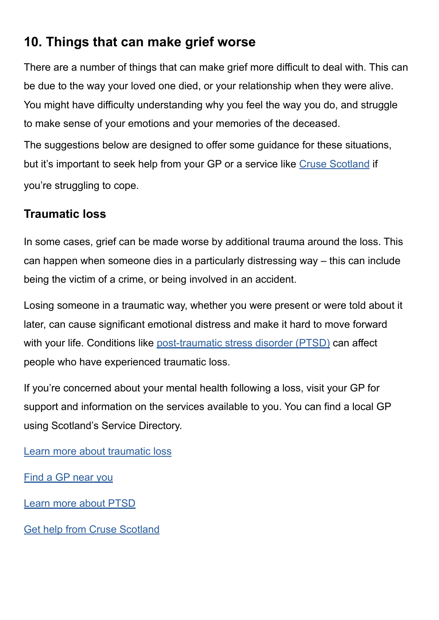# **10. Things that can make grief worse**

There are a number of things that can make grief more difficult to deal with. This can be due to the way your loved one died, or your relationship when they were alive. You might have difficulty understanding why you feel the way you do, and struggle to make sense of your emotions and your memories of the deceased.

The suggestions below are designed to offer some guidance for these situations, but it's important to seek help from your GP or a service like [Cruse Scotland](http://www.crusescotland.org.uk/) if you're struggling to cope.

## **Traumatic loss**

In some cases, grief can be made worse by additional trauma around the loss. This can happen when someone dies in a particularly distressing way – this can include being the victim of a crime, or being involved in an accident.

Losing someone in a traumatic way, whether you were present or were told about it later, can cause significant emotional distress and make it hard to move forward with your life. Conditions like [post-traumatic stress disorder \(PTSD\)](https://www.nhsinform.scot/illnesses-and-conditions/mental-health/post-traumatic-stress-disorder-ptsd) can affect people who have experienced traumatic loss.

If you're concerned about your mental health following a loss, visit your GP for support and information on the services available to you. You can find a local GP using Scotland's Service Directory.

[Learn more about traumatic loss](https://www.cruse.org.uk/get-help/traumatic-bereavement/traumatic-loss)

[Find a GP near you](https://www.nhsinform.scot/scotlands-service-directory/gp-practices)

[Learn more about PTSD](https://www.nhsinform.scot/illnesses-and-conditions/mental-health/post-traumatic-stress-disorder-ptsd)

[Get help from Cruse Scotland](http://www.crusescotland.org.uk/)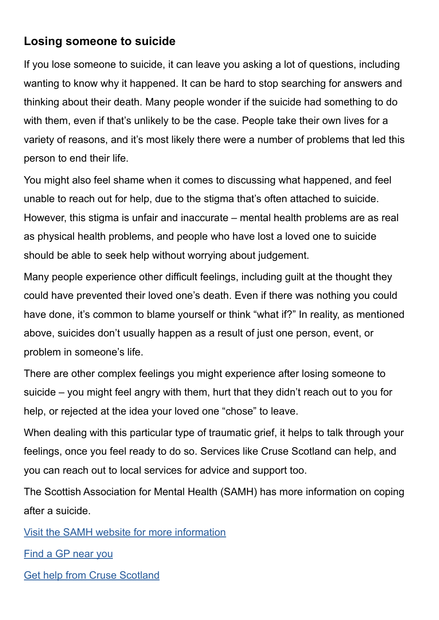## **Losing someone to suicide**

If you lose someone to suicide, it can leave you asking a lot of questions, including wanting to know why it happened. It can be hard to stop searching for answers and thinking about their death. Many people wonder if the suicide had something to do with them, even if that's unlikely to be the case. People take their own lives for a variety of reasons, and it's most likely there were a number of problems that led this person to end their life.

You might also feel shame when it comes to discussing what happened, and feel unable to reach out for help, due to the stigma that's often attached to suicide. However, this stigma is unfair and inaccurate – mental health problems are as real as physical health problems, and people who have lost a loved one to suicide should be able to seek help without worrying about judgement.

Many people experience other difficult feelings, including guilt at the thought they could have prevented their loved one's death. Even if there was nothing you could have done, it's common to blame yourself or think "what if?" In reality, as mentioned above, suicides don't usually happen as a result of just one person, event, or problem in someone's life.

There are other complex feelings you might experience after losing someone to suicide – you might feel angry with them, hurt that they didn't reach out to you for help, or rejected at the idea your loved one "chose" to leave.

When dealing with this particular type of traumatic grief, it helps to talk through your feelings, once you feel ready to do so. Services like Cruse Scotland can help, and you can reach out to local services for advice and support too.

The Scottish Association for Mental Health (SAMH) has more information on coping after a suicide.

[Visit the SAMH website for more information](https://www.samh.org.uk/about-mental-health/suicide/after-a-suicide)

[Find a GP near you](https://www.nhsinform.scot/scotlands-service-directory/gp-practices)

[Get help from Cruse Scotland](http://www.crusescotland.org.uk/)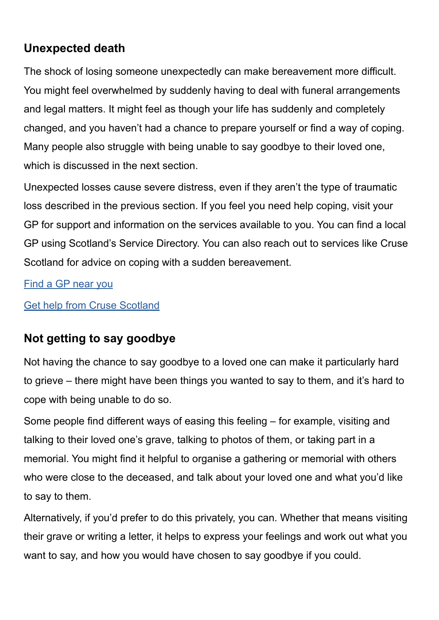## **Unexpected death**

The shock of losing someone unexpectedly can make bereavement more difficult. You might feel overwhelmed by suddenly having to deal with funeral arrangements and legal matters. It might feel as though your life has suddenly and completely changed, and you haven't had a chance to prepare yourself or find a way of coping. Many people also struggle with being unable to say goodbye to their loved one, which is discussed in the next section.

Unexpected losses cause severe distress, even if they aren't the type of traumatic loss described in the previous section. If you feel you need help coping, visit your GP for support and information on the services available to you. You can find a local GP using Scotland's Service Directory. You can also reach out to services like Cruse Scotland for advice on coping with a sudden bereavement.

[Find a GP near you](https://www.nhsinform.scot/scotlands-service-directory/gp-practices)

[Get help from Cruse Scotland](http://www.crusescotland.org.uk/)

## **Not getting to say goodbye**

Not having the chance to say goodbye to a loved one can make it particularly hard to grieve – there might have been things you wanted to say to them, and it's hard to cope with being unable to do so.

Some people find different ways of easing this feeling – for example, visiting and talking to their loved one's grave, talking to photos of them, or taking part in a memorial. You might find it helpful to organise a gathering or memorial with others who were close to the deceased, and talk about your loved one and what you'd like to say to them.

Alternatively, if you'd prefer to do this privately, you can. Whether that means visiting their grave or writing a letter, it helps to express your feelings and work out what you want to say, and how you would have chosen to say goodbye if you could.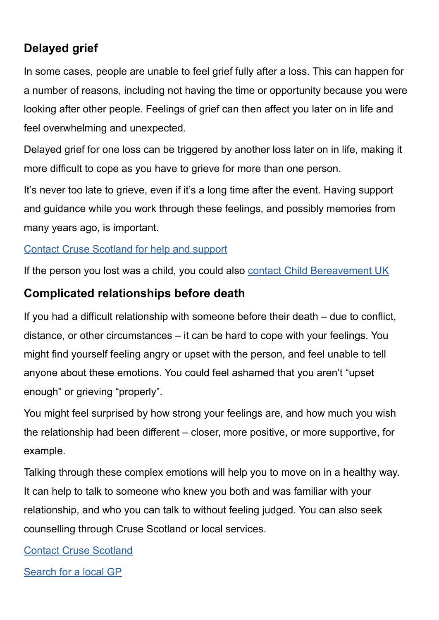## **Delayed grief**

In some cases, people are unable to feel grief fully after a loss. This can happen for a number of reasons, including not having the time or opportunity because you were looking after other people. Feelings of grief can then affect you later on in life and feel overwhelming and unexpected.

Delayed grief for one loss can be triggered by another loss later on in life, making it more difficult to cope as you have to grieve for more than one person.

It's never too late to grieve, even if it's a long time after the event. Having support and guidance while you work through these feelings, and possibly memories from many years ago, is important.

#### [Contact Cruse Scotland for help and support](http://www.crusescotland.org.uk/)

If the person you lost was a child, you could also [contact Child Bereavement UK](https://www.childbereavementuk.org/)

## **Complicated relationships before death**

If you had a difficult relationship with someone before their death – due to conflict, distance, or other circumstances – it can be hard to cope with your feelings. You might find yourself feeling angry or upset with the person, and feel unable to tell anyone about these emotions. You could feel ashamed that you aren't "upset enough" or grieving "properly".

You might feel surprised by how strong your feelings are, and how much you wish the relationship had been different – closer, more positive, or more supportive, for example.

Talking through these complex emotions will help you to move on in a healthy way. It can help to talk to someone who knew you both and was familiar with your relationship, and who you can talk to without feeling judged. You can also seek counselling through Cruse Scotland or local services.

[Contact Cruse Scotland](http://www.crusescotland.org.uk/)

[Search for a local GP](https://www.nhsinform.scot/scotlands-service-directory/gp-practices)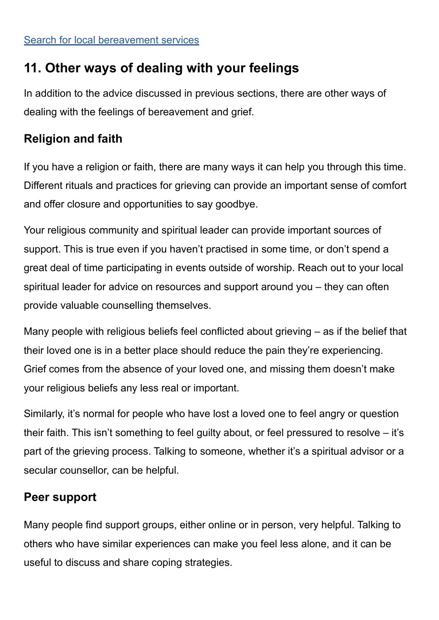# **11. Other ways of dealing with your feelings**

In addition to the advice discussed in previous sections, there are other ways of dealing with the feelings of bereavement and grief.

## **Religion and faith**

If you have a religion or faith, there are many ways it can help you through this time. Different rituals and practices for grieving can provide an important sense of comfort and offer closure and opportunities to say goodbye.

Your religious community and spiritual leader can provide important sources of support. This is true even if you haven't practised in some time, or don't spend a great deal of time participating in events outside of worship. Reach out to your local spiritual leader for advice on resources and support around you – they can often provide valuable counselling themselves.

Many people with religious beliefs feel conflicted about grieving – as if the belief that their loved one is in a better place should reduce the pain they're experiencing. Grief comes from the absence of your loved one, and missing them doesn't make your religious beliefs any less real or important.

Similarly, it's normal for people who have lost a loved one to feel angry or question their faith. This isn't something to feel guilty about, or feel pressured to resolve – it's part of the grieving process. Talking to someone, whether it's a spiritual advisor or a secular counsellor, can be helpful.

## **Peer support**

Many people find support groups, either online or in person, very helpful. Talking to others who have similar experiences can make you feel less alone, and it can be useful to discuss and share coping strategies.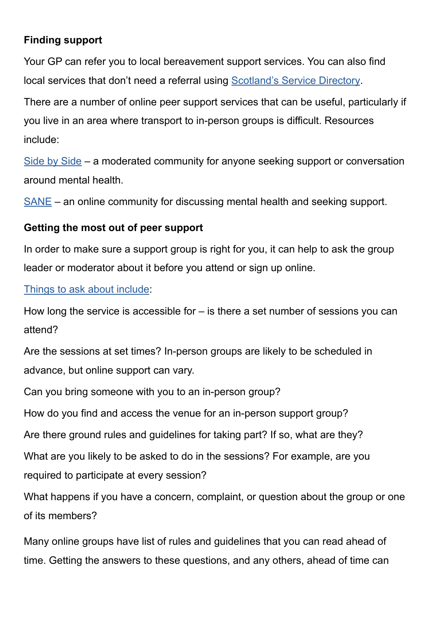#### **Finding support**

Your GP can refer you to local bereavement support services. You can also find local services that don't need a referral using [Scotland's Service Directory.](https://www.nhsinform.scot/scotlands-service-directory/health-and-wellbeing-services?sortdir=Asc&svctype=57)

There are a number of online peer support services that can be useful, particularly if you live in an area where transport to in-person groups is difficult. Resources include:

[Side by Side](https://www.mind.org.uk/information-support/support-community-side-by-side/) – a moderated community for anyone seeking support or conversation around mental health.

[SANE](http://www.sane.org.uk/what_we_do/support/supportforum/) – an online community for discussing mental health and seeking support.

#### **Getting the most out of peer support**

In order to make sure a support group is right for you, it can help to ask the group leader or moderator about it before you attend or sign up online.

#### [Things to ask about include:](https://www.mind.org.uk/information-support/drugs-and-treatments/peer-support/finding-peer-support/)

How long the service is accessible for – is there a set number of sessions you can attend?

Are the sessions at set times? In-person groups are likely to be scheduled in advance, but online support can vary.

Can you bring someone with you to an in-person group?

How do you find and access the venue for an in-person support group?

Are there ground rules and guidelines for taking part? If so, what are they?

What are you likely to be asked to do in the sessions? For example, are you required to participate at every session?

What happens if you have a concern, complaint, or question about the group or one of its members?

Many online groups have list of rules and guidelines that you can read ahead of time. Getting the answers to these questions, and any others, ahead of time can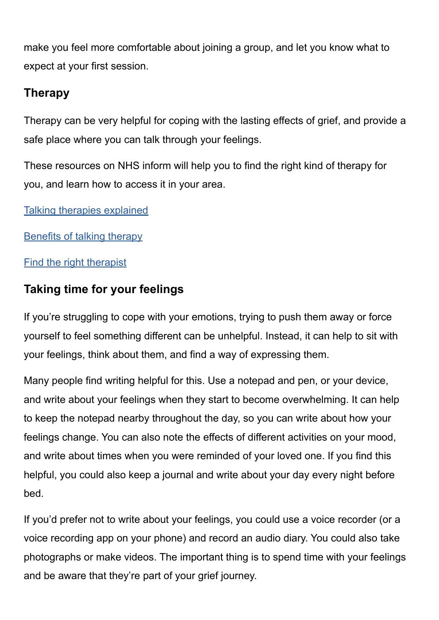make you feel more comfortable about joining a group, and let you know what to expect at your first session.

## **Therapy**

Therapy can be very helpful for coping with the lasting effects of grief, and provide a safe place where you can talk through your feelings.

These resources on NHS inform will help you to find the right kind of therapy for you, and learn how to access it in your area.

[Talking therapies explained](https://www.nhsinform.scot/healthy-living/mental-wellbeing/therapy-and-counselling/talking-therapies-explained)

[Benefits of talking therapy](https://www.nhsinform.scot/healthy-living/mental-wellbeing/therapy-and-counselling/benefits-of-talking-therapy)

[Find the right therapist](https://www.nhsinform.scot/healthy-living/mental-wellbeing/therapy-and-counselling/find-the-right-therapist)

## **Taking time for your feelings**

If you're struggling to cope with your emotions, trying to push them away or force yourself to feel something different can be unhelpful. Instead, it can help to sit with your feelings, think about them, and find a way of expressing them.

Many people find writing helpful for this. Use a notepad and pen, or your device, and write about your feelings when they start to become overwhelming. It can help to keep the notepad nearby throughout the day, so you can write about how your feelings change. You can also note the effects of different activities on your mood, and write about times when you were reminded of your loved one. If you find this helpful, you could also keep a journal and write about your day every night before bed.

If you'd prefer not to write about your feelings, you could use a voice recorder (or a voice recording app on your phone) and record an audio diary. You could also take photographs or make videos. The important thing is to spend time with your feelings and be aware that they're part of your grief journey.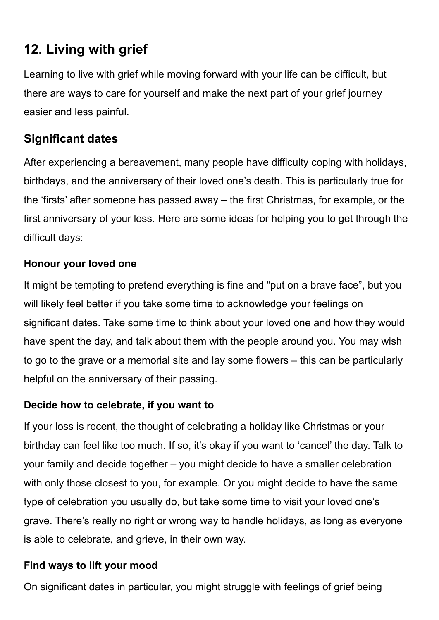# **12. Living with grief**

Learning to live with grief while moving forward with your life can be difficult, but there are ways to care for yourself and make the next part of your grief journey easier and less painful.

## **Significant dates**

After experiencing a bereavement, many people have difficulty coping with holidays, birthdays, and the anniversary of their loved one's death. This is particularly true for the 'firsts' after someone has passed away – the first Christmas, for example, or the first anniversary of your loss. Here are some ideas for helping you to get through the difficult days:

#### **Honour your loved one**

It might be tempting to pretend everything is fine and "put on a brave face", but you will likely feel better if you take some time to acknowledge your feelings on significant dates. Take some time to think about your loved one and how they would have spent the day, and talk about them with the people around you. You may wish to go to the grave or a memorial site and lay some flowers – this can be particularly helpful on the anniversary of their passing.

#### **Decide how to celebrate, if you want to**

If your loss is recent, the thought of celebrating a holiday like Christmas or your birthday can feel like too much. If so, it's okay if you want to 'cancel' the day. Talk to your family and decide together – you might decide to have a smaller celebration with only those closest to you, for example. Or you might decide to have the same type of celebration you usually do, but take some time to visit your loved one's grave. There's really no right or wrong way to handle holidays, as long as everyone is able to celebrate, and grieve, in their own way.

#### **Find ways to lift your mood**

On significant dates in particular, you might struggle with feelings of grief being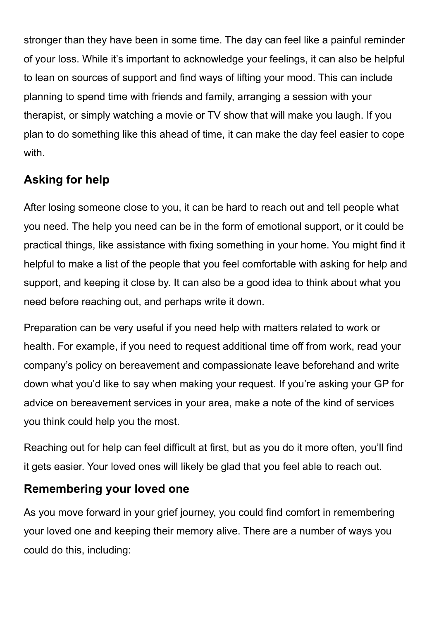stronger than they have been in some time. The day can feel like a painful reminder of your loss. While it's important to acknowledge your feelings, it can also be helpful to lean on sources of support and find ways of lifting your mood. This can include planning to spend time with friends and family, arranging a session with your therapist, or simply watching a movie or TV show that will make you laugh. If you plan to do something like this ahead of time, it can make the day feel easier to cope with.

# **Asking for help**

After losing someone close to you, it can be hard to reach out and tell people what you need. The help you need can be in the form of emotional support, or it could be practical things, like assistance with fixing something in your home. You might find it helpful to make a list of the people that you feel comfortable with asking for help and support, and keeping it close by. It can also be a good idea to think about what you need before reaching out, and perhaps write it down.

Preparation can be very useful if you need help with matters related to work or health. For example, if you need to request additional time off from work, read your company's policy on bereavement and compassionate leave beforehand and write down what you'd like to say when making your request. If you're asking your GP for advice on bereavement services in your area, make a note of the kind of services you think could help you the most.

Reaching out for help can feel difficult at first, but as you do it more often, you'll find it gets easier. Your loved ones will likely be glad that you feel able to reach out.

## **Remembering your loved one**

As you move forward in your grief journey, you could find comfort in remembering your loved one and keeping their memory alive. There are a number of ways you could do this, including: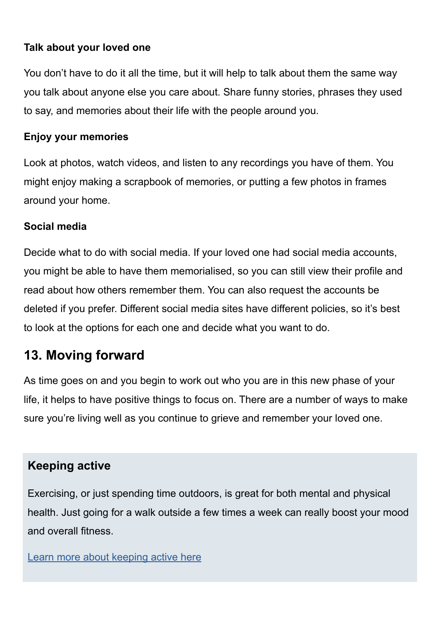#### **Talk about your loved one**

You don't have to do it all the time, but it will help to talk about them the same way you talk about anyone else you care about. Share funny stories, phrases they used to say, and memories about their life with the people around you.

#### **Enjoy your memories**

Look at photos, watch videos, and listen to any recordings you have of them. You might enjoy making a scrapbook of memories, or putting a few photos in frames around your home.

#### **Social media**

Decide what to do with social media. If your loved one had social media accounts, you might be able to have them memorialised, so you can still view their profile and read about how others remember them. You can also request the accounts be deleted if you prefer. Different social media sites have different policies, so it's best to look at the options for each one and decide what you want to do.

# **13. Moving forward**

As time goes on and you begin to work out who you are in this new phase of your life, it helps to have positive things to focus on. There are a number of ways to make sure you're living well as you continue to grieve and remember your loved one.

## **Keeping active**

Exercising, or just spending time outdoors, is great for both mental and physical health. Just going for a walk outside a few times a week can really boost your mood and overall fitness.

[Learn more about keeping active here](https://www.nhsinform.scot/healthy-living/keeping-active)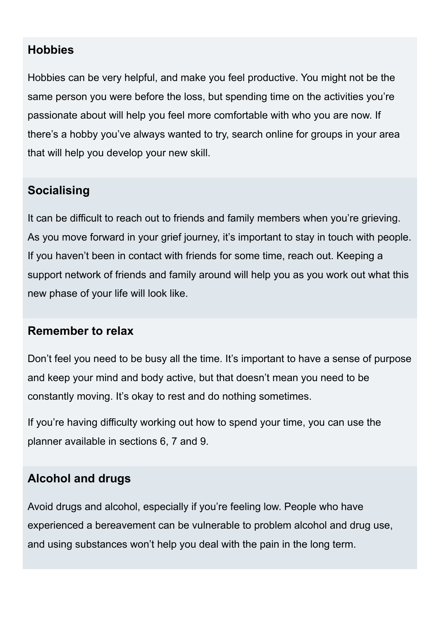#### **Hobbies**

Hobbies can be very helpful, and make you feel productive. You might not be the same person you were before the loss, but spending time on the activities you're passionate about will help you feel more comfortable with who you are now. If there's a hobby you've always wanted to try, search online for groups in your area that will help you develop your new skill.

## **Socialising**

It can be difficult to reach out to friends and family members when you're grieving. As you move forward in your grief journey, it's important to stay in touch with people. If you haven't been in contact with friends for some time, reach out. Keeping a support network of friends and family around will help you as you work out what this new phase of your life will look like.

#### **Remember to relax**

Don't feel you need to be busy all the time. It's important to have a sense of purpose and keep your mind and body active, but that doesn't mean you need to be constantly moving. It's okay to rest and do nothing sometimes.

If you're having difficulty working out how to spend your time, you can use the planner available in sections 6, 7 and 9.

## **Alcohol and drugs**

Avoid drugs and alcohol, especially if you're feeling low. People who have experienced a bereavement can be vulnerable to problem alcohol and drug use, and using substances won't help you deal with the pain in the long term.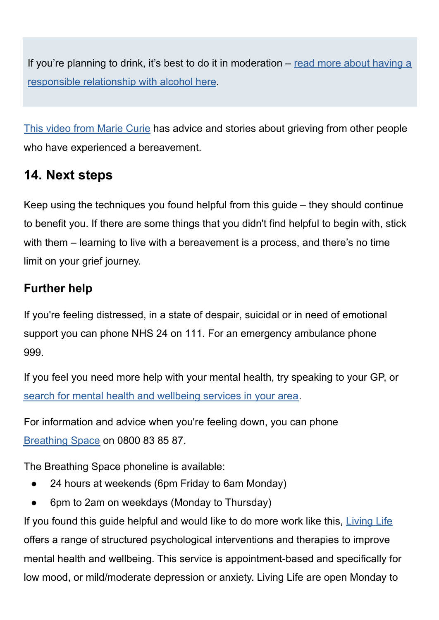If you're planning to drink, it's best to do it in moderation  $-$  [read more about having a](https://www.nhsinform.scot/healthy-living/alcohol) [responsible relationship with alcohol here](https://www.nhsinform.scot/healthy-living/alcohol).

[This video from Marie Curie](https://www.mariecurie.org.uk/help/support/bereaved-family-friends/dealing-grief/grieving-your-way) has advice and stories about grieving from other people who have experienced a bereavement.

# **14. Next steps**

Keep using the techniques you found helpful from this guide – they should continue to benefit you. If there are some things that you didn't find helpful to begin with, stick with them – learning to live with a bereavement is a process, and there's no time limit on your grief journey.

# **Further help**

If you're feeling distressed, in a state of despair, suicidal or in need of emotional support you can phone NHS 24 on 111. For an emergency ambulance phone 999.

If you feel you need more help with your mental health, try speaking to your GP, or [search for mental health and wellbeing services in your area](https://www.nhsinform.scot/scotlands-service-directory/health-and-wellbeing-services?sortdir=Asc&svctype=15).

For information and advice when you're feeling down, you can phone [Breathing Space](https://breathingspace.scot/) on 0800 83 85 87.

The Breathing Space phoneline is available:

- 24 hours at weekends (6pm Friday to 6am Monday)
- 6pm to 2am on weekdays (Monday to Thursday)

If you found this guide helpful and would like to do more work like this, [Living Life](https://breathingspace.scot/living-life/) offers a range of structured psychological interventions and therapies to improve mental health and wellbeing. This service is appointment-based and specifically for low mood, or mild/moderate depression or anxiety. Living Life are open Monday to